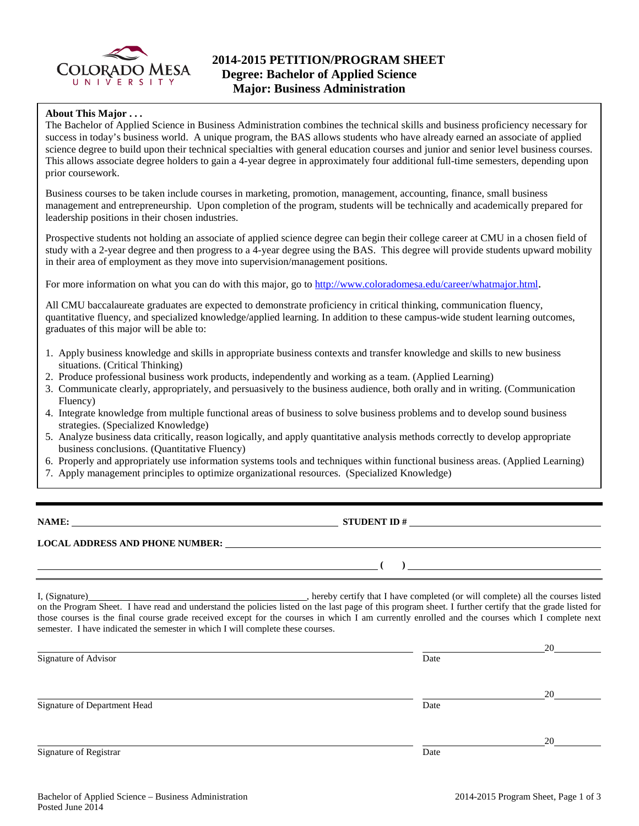

## **About This Major . . .**

The Bachelor of Applied Science in Business Administration combines the technical skills and business proficiency necessary for success in today's business world. A unique program, the BAS allows students who have already earned an associate of applied science degree to build upon their technical specialties with general education courses and junior and senior level business courses. This allows associate degree holders to gain a 4-year degree in approximately four additional full-time semesters, depending upon prior coursework.

Business courses to be taken include courses in marketing, promotion, management, accounting, finance, small business management and entrepreneurship. Upon completion of the program, students will be technically and academically prepared for leadership positions in their chosen industries.

Prospective students not holding an associate of applied science degree can begin their college career at CMU in a chosen field of study with a 2-year degree and then progress to a 4-year degree using the BAS. This degree will provide students upward mobility in their area of employment as they move into supervision/management positions.

For more information on what you can do with this major, go to [http://www.coloradomesa.edu/career/whatmajor.html.](http://www.coloradomesa.edu/career/whatmajor.html)

All CMU baccalaureate graduates are expected to demonstrate proficiency in critical thinking, communication fluency, quantitative fluency, and specialized knowledge/applied learning. In addition to these campus-wide student learning outcomes, graduates of this major will be able to:

- 1. Apply business knowledge and skills in appropriate business contexts and transfer knowledge and skills to new business situations. (Critical Thinking)
- 2. Produce professional business work products, independently and working as a team. (Applied Learning)
- 3. Communicate clearly, appropriately, and persuasively to the business audience, both orally and in writing. (Communication Fluency)
- 4. Integrate knowledge from multiple functional areas of business to solve business problems and to develop sound business strategies. (Specialized Knowledge)
- 5. Analyze business data critically, reason logically, and apply quantitative analysis methods correctly to develop appropriate business conclusions. (Quantitative Fluency)
- 6. Properly and appropriately use information systems tools and techniques within functional business areas. (Applied Learning)
- 7. Apply management principles to optimize organizational resources. (Specialized Knowledge)

**NAME:** STUDENT ID #

**( )** 

## **LOCAL ADDRESS AND PHONE NUMBER:**

I, (Signature) , hereby certify that I have completed (or will complete) all the courses listed on the Program Sheet. I have read and understand the policies listed on the last page of this program sheet. I further certify that the grade listed for those courses is the final course grade received except for the courses in which I am currently enrolled and the courses which I complete next semester. I have indicated the semester in which I will complete these courses.

|                              |      | 20 |
|------------------------------|------|----|
| Signature of Advisor         | Date |    |
|                              |      | 20 |
| Signature of Department Head | Date |    |
|                              |      | 20 |
| Signature of Registrar       | Date |    |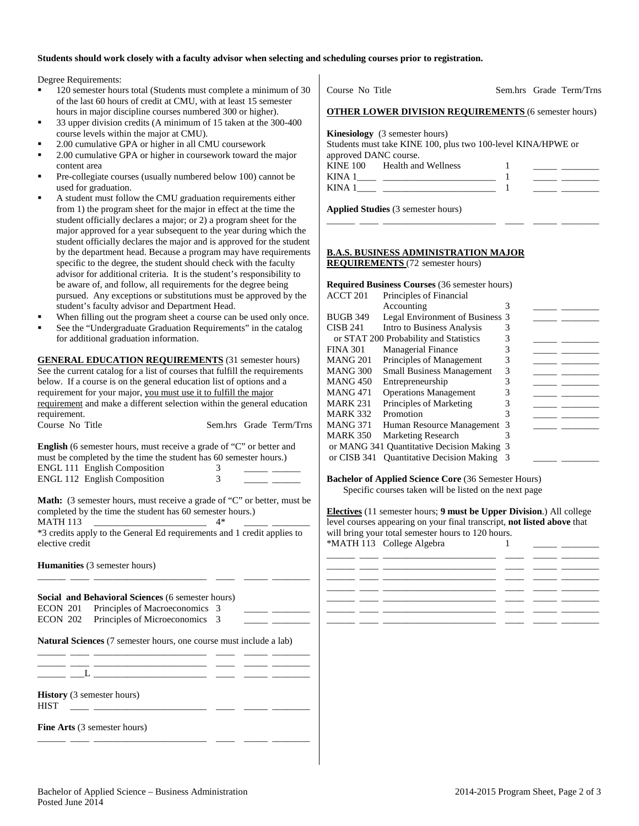## **Students should work closely with a faculty advisor when selecting and scheduling courses prior to registration.**

Degree Requirements:

- 120 semester hours total (Students must complete a minimum of 30 of the last 60 hours of credit at CMU, with at least 15 semester hours in major discipline courses numbered 300 or higher).
- 33 upper division credits (A minimum of 15 taken at the 300-400 course levels within the major at CMU).
- 2.00 cumulative GPA or higher in all CMU coursework
- 2.00 cumulative GPA or higher in coursework toward the major content area
- Pre-collegiate courses (usually numbered below 100) cannot be used for graduation.
- A student must follow the CMU graduation requirements either from 1) the program sheet for the major in effect at the time the student officially declares a major; or 2) a program sheet for the major approved for a year subsequent to the year during which the student officially declares the major and is approved for the student by the department head. Because a program may have requirements specific to the degree, the student should check with the faculty advisor for additional criteria. It is the student's responsibility to be aware of, and follow, all requirements for the degree being pursued. Any exceptions or substitutions must be approved by the student's faculty advisor and Department Head.
- When filling out the program sheet a course can be used only once.
- See the "Undergraduate Graduation Requirements" in the catalog for additional graduation information.

**GENERAL EDUCATION REQUIREMENTS** (31 semester hours) See the current catalog for a list of courses that fulfill the requirements below. If a course is on the general education list of options and a requirement for your major, you must use it to fulfill the major requirement and make a different selection within the general education requirement.<br>Course No Title Sem.hrs Grade Term/Trns

| <b>English</b> (6 semester hours, must receive a grade of "C" or better and |   |  |
|-----------------------------------------------------------------------------|---|--|
| must be completed by the time the student has 60 semester hours.)           |   |  |
| <b>ENGL 111 English Composition</b>                                         | 3 |  |
| <b>ENGL 112 English Composition</b>                                         | 3 |  |
|                                                                             |   |  |

**Math:** (3 semester hours, must receive a grade of "C" or better, must be completed by the time the student has 60 semester hours.) MATH 113 \_\_\_\_\_\_\_\_\_\_\_\_\_\_\_\_\_\_\_\_\_\_\_\_ 4\* \_\_\_\_\_ \_\_\_\_\_\_\_\_

\*3 credits apply to the General Ed requirements and 1 credit applies to elective credit

\_\_\_\_\_\_ \_\_\_\_ \_\_\_\_\_\_\_\_\_\_\_\_\_\_\_\_\_\_\_\_\_\_\_\_ \_\_\_\_ \_\_\_\_\_ \_\_\_\_\_\_\_\_

**Humanities** (3 semester hours)

**Social and Behavioral Sciences** (6 semester hours) ECON 201 Principles of Macroeconomics 3 ECON 202 Principles of Microeconomics 3

**Natural Sciences** (7 semester hours, one course must include a lab)

| <b>History</b> (3 semester hours)<br><b>HIST</b> |  |  |  |  |
|--------------------------------------------------|--|--|--|--|

\_\_\_\_\_\_ \_\_\_\_ \_\_\_\_\_\_\_\_\_\_\_\_\_\_\_\_\_\_\_\_\_\_\_\_ \_\_\_\_ \_\_\_\_\_ \_\_\_\_\_\_\_\_

**Fine Arts** (3 semester hours)

| Course No Title                                                                                                                | Sem.hrs Grade Term/Trns |
|--------------------------------------------------------------------------------------------------------------------------------|-------------------------|
| <b>OTHER LOWER DIVISION REQUIREMENTS (6 semester hours)</b>                                                                    |                         |
| <b>Kinesiology</b> (3 semester hours)<br>Students must take KINE 100, plus two 100-level KINA/HPWE or<br>approved DANC course. |                         |
| KINE 100 Health and Wellness                                                                                                   |                         |
|                                                                                                                                |                         |
| <b>Applied Studies</b> (3 semester hours)                                                                                      |                         |

## **B.A.S. BUSINESS ADMINISTRATION MAJOR REQUIREMENTS** (72 semester hours)

|                     | <b>Required Business Courses</b> (36 semester hours) |   |  |
|---------------------|------------------------------------------------------|---|--|
| ACCT <sub>201</sub> | Principles of Financial                              |   |  |
|                     | Accounting                                           | 3 |  |
| <b>BUGB 349</b>     | Legal Environment of Business 3                      |   |  |
| <b>CISB 241</b>     | Intro to Business Analysis                           | 3 |  |
|                     | or STAT 200 Probability and Statistics               | 3 |  |
| <b>FINA 301</b>     | <b>Managerial Finance</b>                            | 3 |  |
| <b>MANG 201</b>     | Principles of Management                             | 3 |  |
| <b>MANG 300</b>     | <b>Small Business Management</b>                     | 3 |  |
| <b>MANG 450</b>     | Entrepreneurship                                     | 3 |  |
| <b>MANG 471</b>     | <b>Operations Management</b>                         | 3 |  |
| <b>MARK 231</b>     | Principles of Marketing                              | 3 |  |
| <b>MARK 332</b>     | Promotion                                            | 3 |  |
| <b>MANG 371</b>     | Human Resource Management                            | 3 |  |
| <b>MARK 350</b>     | Marketing Research                                   | 3 |  |
|                     | or MANG 341 Quantitative Decision Making 3           |   |  |
| or CISB 341         | <b>Quantitative Decision Making</b>                  | 3 |  |
|                     |                                                      |   |  |

**Bachelor of Applied Science Core** (36 Semester Hours) Specific courses taken will be listed on the next page

**Electives** (11 semester hours; **9 must be Upper Division**.) All college level courses appearing on your final transcript, **not listed above** that will bring your total semester hours to 120 hours. \*MATH 113 College Algebra 1 \_\_\_\_\_ \_\_\_\_\_\_\_\_

|  |  | _______________                     |
|--|--|-------------------------------------|
|  |  | the contract of the contract of the |
|  |  |                                     |
|  |  |                                     |
|  |  |                                     |
|  |  |                                     |